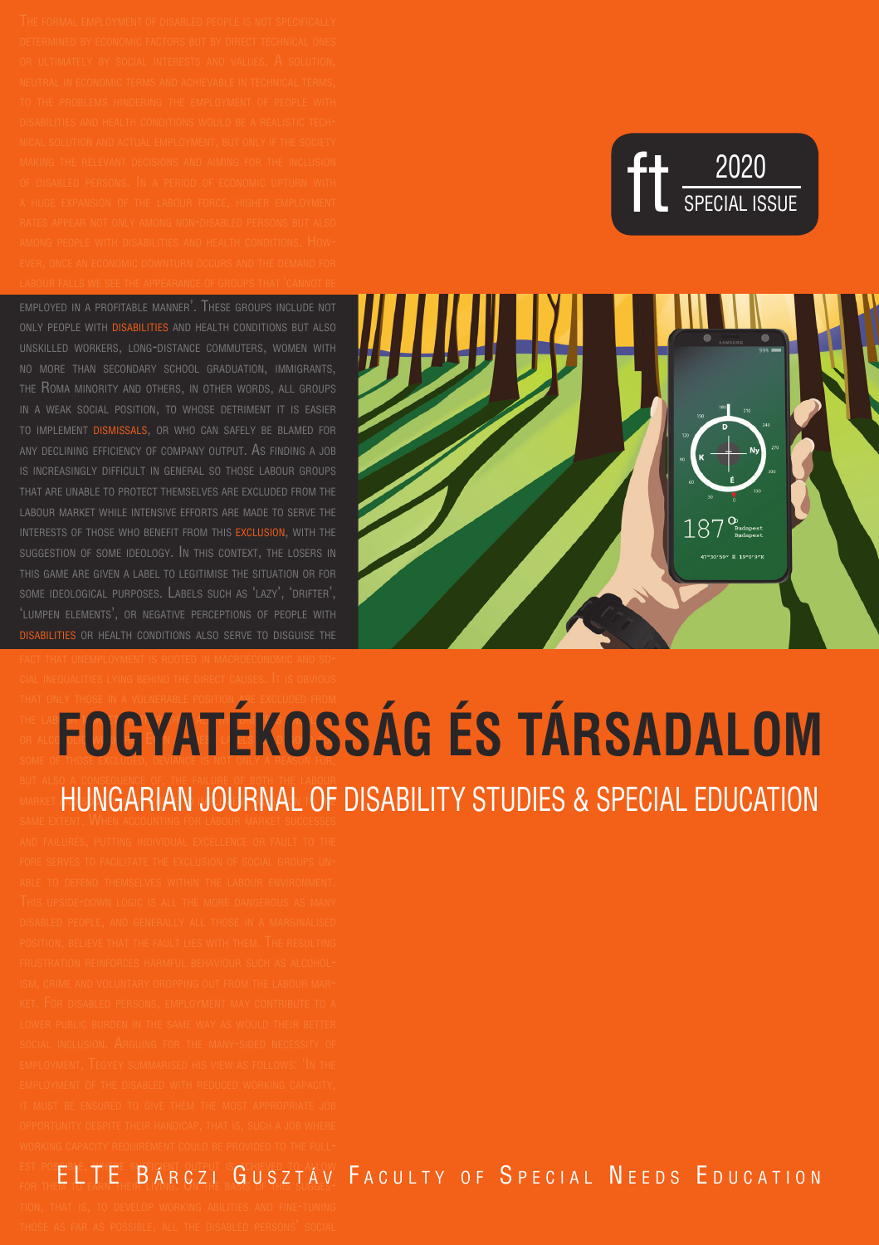ft 2020



#### any declining efficiency of company output. As finding a job is increasingly difficult in general so those labour groups that are unable to protect themselves are excluded from the labour market while intensive efforts are made to serve the interests of those who benefit from this exclusion, with the suggestion of some ideology. In this context, the losers in this game are given a label to legitimise the situation or for some ideological purposes. Labels such as 'lazy', 'drifter', 'lumpen elements', or negative perceptions of people with disabilities or health conditions also serve to disguise the that only those in a vulnerable position are excluded from THE LAB**IT MARKET, RIKAO**

### or alcoh<mark>out workers. Even if the labels hold for</mark> **EOGYATÉKOSSÁG ÉS TARSADALOM** but also <sup>a</sup> consequence of, the failure of both the labour MARKET HUNGARIAN JOURNAL OF DISABILITY STUDIES & SPECIAL EDUCATION

employed in a profitable manner'. These groups include not only people with disabilities and health conditions but also unskilled workers, long-distance commuters, women with no more than secondary school graduation, immigrants, the Roma minority and others, in other words, all groups WEAK SOCIAL POSITION, TO WHOSE DETRIMENT IT IS EASIER to implement dismissals, or who can safely be blamed for

#### est possible, where sufficient output is achieved to allow EL T E BÁR C Z I GUSZTÁV FA CULTY OF SPECIAL NEEDS EDUCATION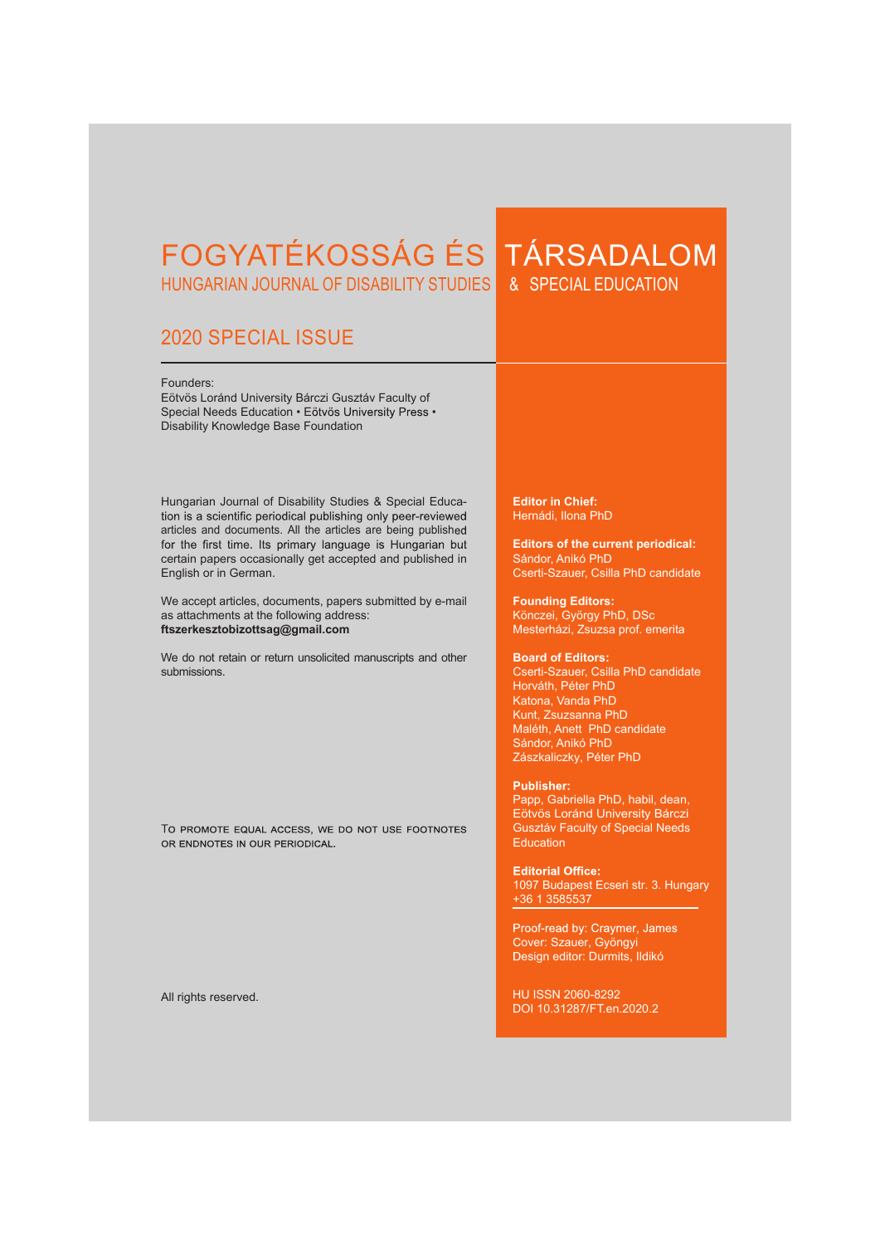# FOGYATÉKOSSÁG ÉS TÁRSADALOM HUNGARIAN JOURNAL OF DISABILITY STUDIES

## 2020 SPECIAL ISSUE

Founders:

Eötvös Loránd University Bárczi Gusztáv Faculty of Special Needs Education • Eötvös University Press • Disability Knowledge Base Foundation

Hungarian Journal of Disability Studies & Special Educa-<br>tion is a scientific periodical publishing only peer-reviewed articles and documents. All the articles are being published<br>for the first time. Its primary language is Hungarian but certain papers occasionally get accepted and published in English or in German.

We accept articles, documents, papers submitted by e-mail as attachments at the following address: **ftszerkesztobizottsag@gmail.com** 

We do not retain or return unsolicited manuscripts and other submissions.

TO PROMOTE EQUAL ACCESS. WE DO NOT USE FOOTNOTES OR ENDNOTES IN OUR PERIODICAL.

All rights reserved.

**Editor in Chief:** Hernádi, Ilona PhD

**Editors of the current periodical:** Sándor, Anikó PhD Cserti-Szauer, Csilla PhD candidate

**Founding Editors:** Könczei, György PhD, DSc Mesterházi, Zsuzsa prof. emerita

#### **Board of Editors:**

Cserti-Szauer, Csilla PhD candidate Horváth, Péter PhD Katona, Vanda PhD Kunt, Zsuzsanna PhD Maléth, Anett PhD candidate Sándor, Anikó PhD Zászkaliczky, Péter PhD

#### **Publisher:**

Papp, Gabriella PhD, habil, dean, Eötvös Loránd University Bárczi Gusztáv Faculty of Special Needs **Education** 

**Editorial Office:** 1097 Budapest Ecseri str. 3. Hungary +36 1 3585537

Proof-read by: Craymer, James over: Szauer, Gyöngyi Design editor: Durmits, Ildikó

HU ISSN 2060-8292 DOI 10.31287/FT.en.2020.2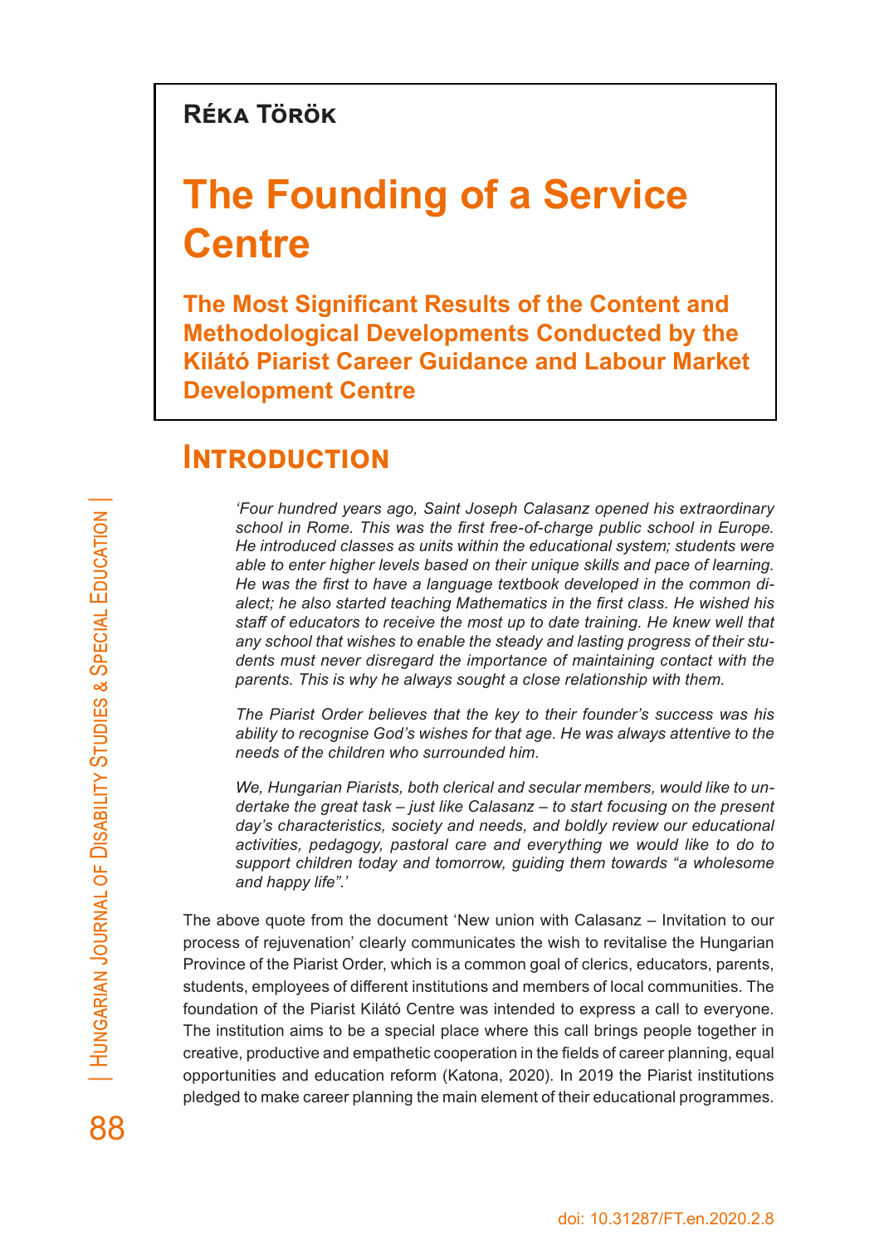### **Réka Török**

# **The Founding of a Service Centre**

**The Most Significant Results of the Content and Methodological Developments Conducted by the Kilátó Piarist Career Guidance and Labour Market Development Centre**

### **Introduction**

*'Four hundred years ago, Saint Joseph Calasanz opened his extraordinary school in Rome. This was the first free-of-charge public school in Europe. He introduced classes as units within the educational system; students were able to enter higher levels based on their unique skills and pace of learning. He was the first to have a language textbook developed in the common dialect; he also started teaching Mathematics in the first class. He wished his staff of educators to receive the most up to date training. He knew well that any school that wishes to enable the steady and lasting progress of their students must never disregard the importance of maintaining contact with the parents. This is why he always sought a close relationship with them.*

*The Piarist Order believes that the key to their founder's success was his ability to recognise God's wishes for that age. He was always attentive to the needs of the children who surrounded him.*

*We, Hungarian Piarists, both clerical and secular members, would like to undertake the great task – just like Calasanz – to start focusing on the present day's characteristics, society and needs, and boldly review our educational activities, pedagogy, pastoral care and everything we would like to do to support children today and tomorrow, guiding them towards "a wholesome and happy life".'*

The above quote from the document 'New union with Calasanz – Invitation to our process of rejuvenation' clearly communicates the wish to revitalise the Hungarian Province of the Piarist Order, which is a common goal of clerics, educators, parents, students, employees of different institutions and members of local communities. The foundation of the Piarist Kilátó Centre was intended to express a call to everyone. The institution aims to be a special place where this call brings people together in creative, productive and empathetic cooperation in the fields of career planning, equal opportunities and education reform (Katona, 2020). In 2019 the Piarist institutions pledged to make career planning the main element of their educational programmes.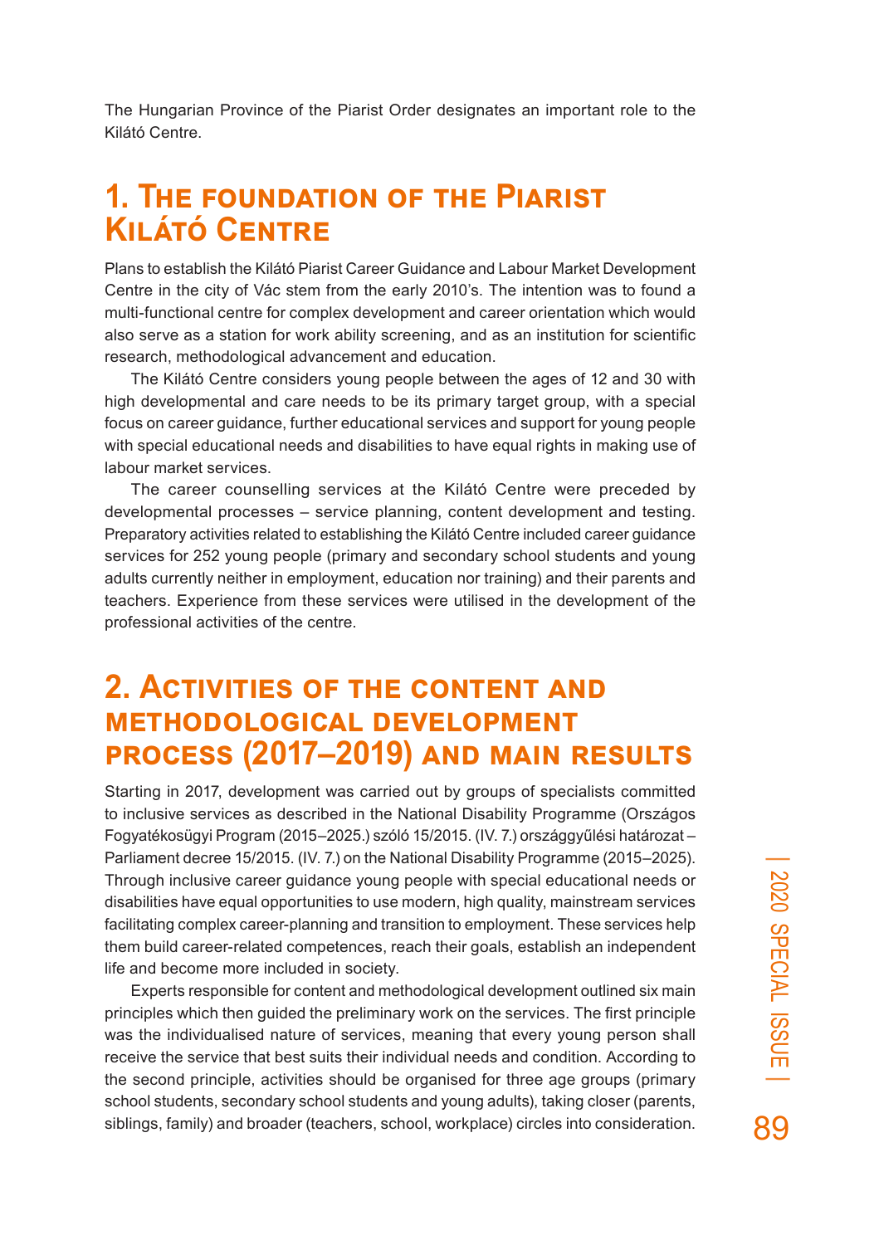The Hungarian Province of the Piarist Order designates an important role to the Kilátó Centre.

## **1. The foundation of the Piarist Kilátó Centre**

Plans to establish the Kilátó Piarist Career Guidance and Labour Market Development Centre in the city of Vác stem from the early 2010's. The intention was to found a multi-functional centre for complex development and career orientation which would also serve as a station for work ability screening, and as an institution for scientific research, methodological advancement and education.

The Kilátó Centre considers young people between the ages of 12 and 30 with high developmental and care needs to be its primary target group, with a special focus on career guidance, further educational services and support for young people with special educational needs and disabilities to have equal rights in making use of labour market services.

The career counselling services at the Kilátó Centre were preceded by developmental processes – service planning, content development and testing. Preparatory activities related to establishing the Kilátó Centre included career guidance services for 252 young people (primary and secondary school students and young adults currently neither in employment, education nor training) and their parents and teachers. Experience from these services were utilised in the development of the professional activities of the centre.

### **2. Activities of the content and methodological development process (2017–2019) and main results**

Starting in 2017, development was carried out by groups of specialists committed to inclusive services as described in the National Disability Programme (Országos Fogyatékosügyi Program (2015–2025.) szóló 15/2015. (IV. 7.) országgyűlési határozat – Parliament decree 15/2015. (IV. 7.) on the National Disability Programme (2015–2025). Through inclusive career guidance young people with special educational needs or disabilities have equal opportunities to use modern, high quality, mainstream services facilitating complex career-planning and transition to employment. These services help them build career-related competences, reach their goals, establish an independent life and become more included in society.

Experts responsible for content and methodological development outlined six main principles which then guided the preliminary work on the services. The first principle was the individualised nature of services, meaning that every young person shall receive the service that best suits their individual needs and condition. According to the second principle, activities should be organised for three age groups (primary school students, secondary school students and young adults), taking closer (parents, siblings, family) and broader (teachers, school, workplace) circles into consideration.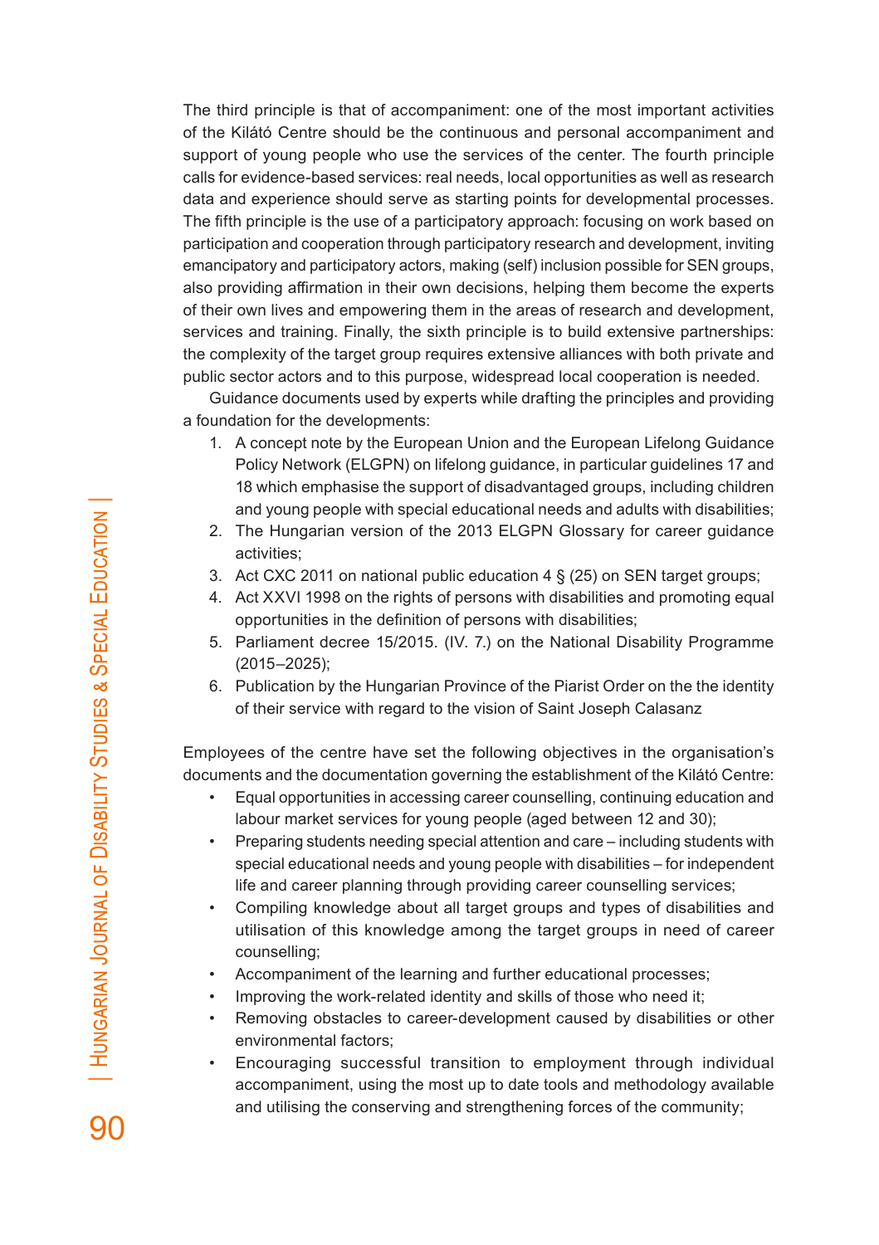The third principle is that of accompaniment: one of the most important activities of the Kilátó Centre should be the continuous and personal accompaniment and support of young people who use the services of the center. The fourth principle calls for evidence-based services: real needs, local opportunities as well as research data and experience should serve as starting points for developmental processes. The fifth principle is the use of a participatory approach: focusing on work based on participation and cooperation through participatory research and development, inviting emancipatory and participatory actors, making (self) inclusion possible for SEN groups, also providing affirmation in their own decisions, helping them become the experts of their own lives and empowering them in the areas of research and development, services and training. Finally, the sixth principle is to build extensive partnerships: the complexity of the target group requires extensive alliances with both private and public sector actors and to this purpose, widespread local cooperation is needed.

Guidance documents used by experts while drafting the principles and providing a foundation for the developments:

- 1. A concept note by the European Union and the European Lifelong Guidance Policy Network (ELGPN) on lifelong guidance, in particular guidelines 17 and 18 which emphasise the support of disadvantaged groups, including children and young people with special educational needs and adults with disabilities;
- 2. The Hungarian version of the 2013 ELGPN Glossary for career guidance activities;
- 3. Act CXC 2011 on national public education 4 § (25) on SEN target groups;
- 4. Act XXVI 1998 on the rights of persons with disabilities and promoting equal opportunities in the definition of persons with disabilities;
- 5. Parliament decree 15/2015. (IV. 7.) on the National Disability Programme (2015–2025);
- 6. Publication by the Hungarian Province of the Piarist Order on the the identity of their service with regard to the vision of Saint Joseph Calasanz

Employees of the centre have set the following objectives in the organisation's documents and the documentation governing the establishment of the Kilátó Centre:

- Equal opportunities in accessing career counselling, continuing education and labour market services for young people (aged between 12 and 30);
- Preparing students needing special attention and care including students with special educational needs and young people with disabilities – for independent life and career planning through providing career counselling services;
- Compiling knowledge about all target groups and types of disabilities and utilisation of this knowledge among the target groups in need of career counselling;
- Accompaniment of the learning and further educational processes;
- Improving the work-related identity and skills of those who need it;
- Removing obstacles to career-development caused by disabilities or other environmental factors;
- Encouraging successful transition to employment through individual accompaniment, using the most up to date tools and methodology available and utilising the conserving and strengthening forces of the community;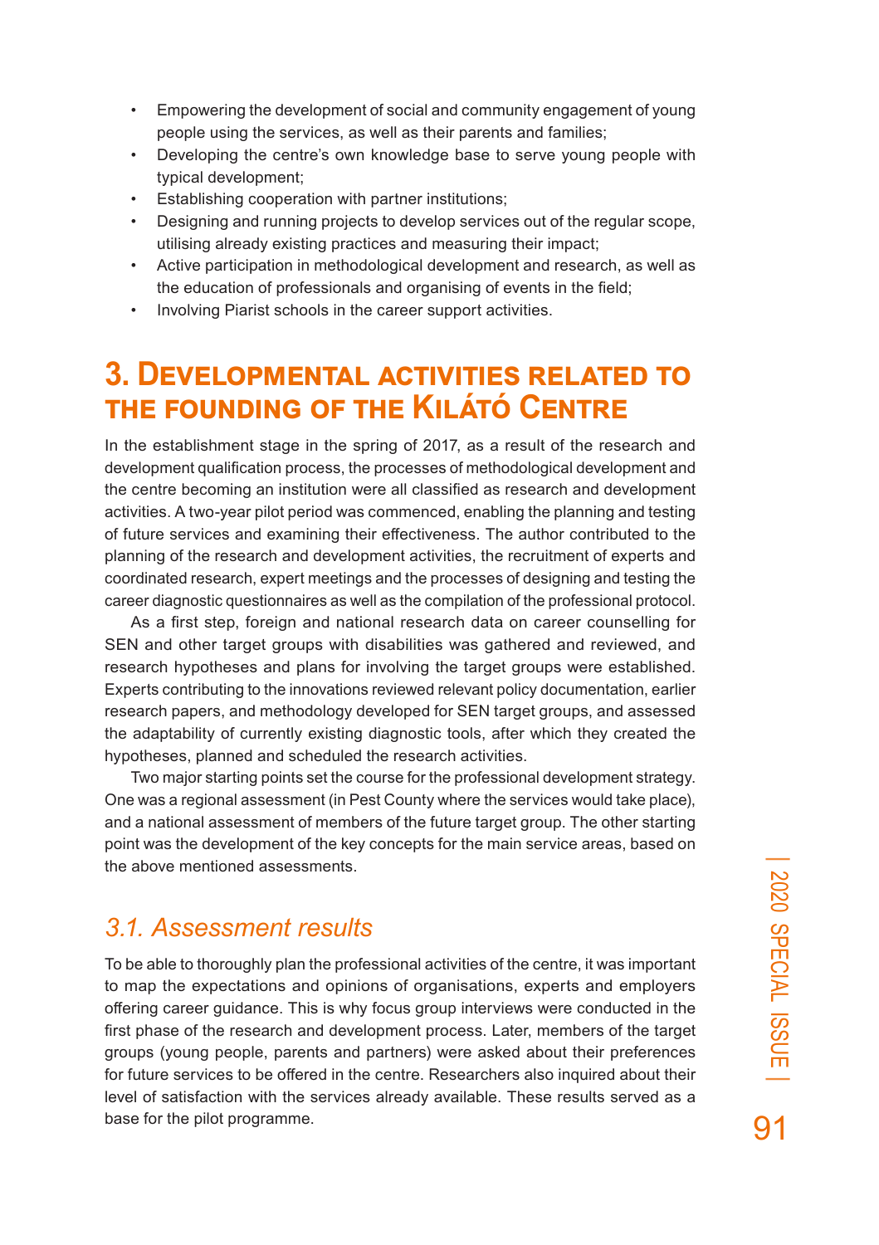- Empowering the development of social and community engagement of young people using the services, as well as their parents and families;
- Developing the centre's own knowledge base to serve young people with typical development;
- Establishing cooperation with partner institutions;
- Designing and running projects to develop services out of the regular scope, utilising already existing practices and measuring their impact;
- Active participation in methodological development and research, as well as the education of professionals and organising of events in the field;
- Involving Piarist schools in the career support activities.

## **3. Developmental activities related to the founding of the Kilátó Centre**

In the establishment stage in the spring of 2017, as a result of the research and development qualification process, the processes of methodological development and the centre becoming an institution were all classified as research and development activities. A two-year pilot period was commenced, enabling the planning and testing of future services and examining their effectiveness. The author contributed to the planning of the research and development activities, the recruitment of experts and coordinated research, expert meetings and the processes of designing and testing the career diagnostic questionnaires as well as the compilation of the professional protocol.

As a first step, foreign and national research data on career counselling for SEN and other target groups with disabilities was gathered and reviewed, and research hypotheses and plans for involving the target groups were established. Experts contributing to the innovations reviewed relevant policy documentation, earlier research papers, and methodology developed for SEN target groups, and assessed the adaptability of currently existing diagnostic tools, after which they created the hypotheses, planned and scheduled the research activities.

Two major starting points set the course for the professional development strategy. One was a regional assessment (in Pest County where the services would take place), and a national assessment of members of the future target group. The other starting point was the development of the key concepts for the main service areas, based on the above mentioned assessments.

### *3.1. Assessment results*

To be able to thoroughly plan the professional activities of the centre, it was important to map the expectations and opinions of organisations, experts and employers offering career guidance. This is why focus group interviews were conducted in the first phase of the research and development process. Later, members of the target groups (young people, parents and partners) were asked about their preferences for future services to be offered in the centre. Researchers also inquired about their level of satisfaction with the services already available. These results served as a base for the pilot programme.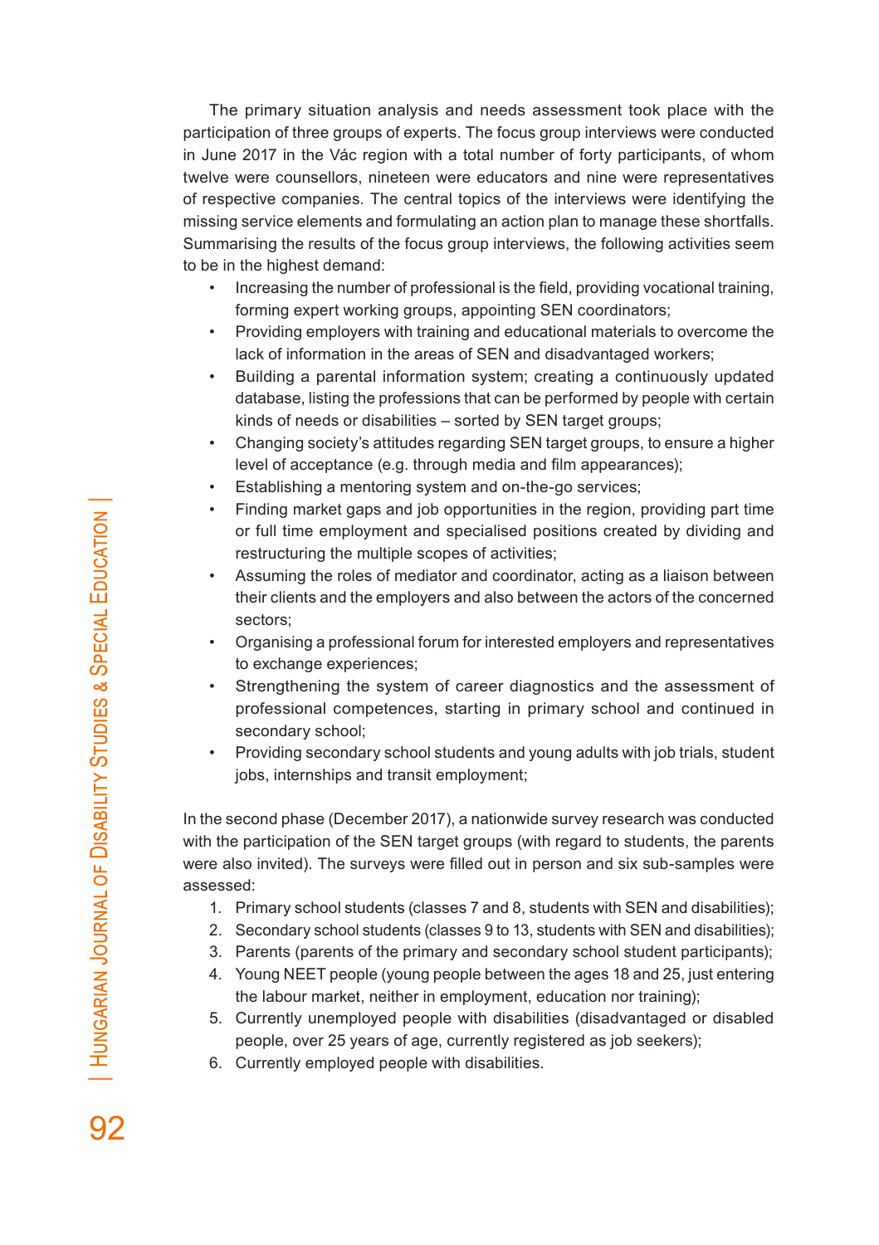The primary situation analysis and needs assessment took place with the participation of three groups of experts. The focus group interviews were conducted in June 2017 in the Vác region with a total number of forty participants, of whom twelve were counsellors, nineteen were educators and nine were representatives of respective companies. The central topics of the interviews were identifying the missing service elements and formulating an action plan to manage these shortfalls. Summarising the results of the focus group interviews, the following activities seem to be in the highest demand:

- Increasing the number of professional is the field, providing vocational training, forming expert working groups, appointing SEN coordinators;
- Providing employers with training and educational materials to overcome the lack of information in the areas of SEN and disadvantaged workers;
- Building a parental information system; creating a continuously updated database, listing the professions that can be performed by people with certain kinds of needs or disabilities – sorted by SEN target groups;
- Changing society's attitudes regarding SEN target groups, to ensure a higher level of acceptance (e.g. through media and film appearances);
- Establishing a mentoring system and on-the-go services;
- Finding market gaps and job opportunities in the region, providing part time or full time employment and specialised positions created by dividing and restructuring the multiple scopes of activities;
- Assuming the roles of mediator and coordinator, acting as a liaison between their clients and the employers and also between the actors of the concerned sectors;
- Organising a professional forum for interested employers and representatives to exchange experiences;
- Strengthening the system of career diagnostics and the assessment of professional competences, starting in primary school and continued in secondary school;
- Providing secondary school students and young adults with job trials, student jobs, internships and transit employment;

In the second phase (December 2017), a nationwide survey research was conducted with the participation of the SEN target groups (with regard to students, the parents were also invited). The surveys were filled out in person and six sub-samples were assessed:

- 1. Primary school students (classes 7 and 8, students with SEN and disabilities);
- 2. Secondary school students (classes 9 to 13, students with SEN and disabilities);
- 3. Parents (parents of the primary and secondary school student participants);
- 4. Young NEET people (young people between the ages 18 and 25, just entering the labour market, neither in employment, education nor training);
- 5. Currently unemployed people with disabilities (disadvantaged or disabled people, over 25 years of age, currently registered as job seekers);
- 6. Currently employed people with disabilities.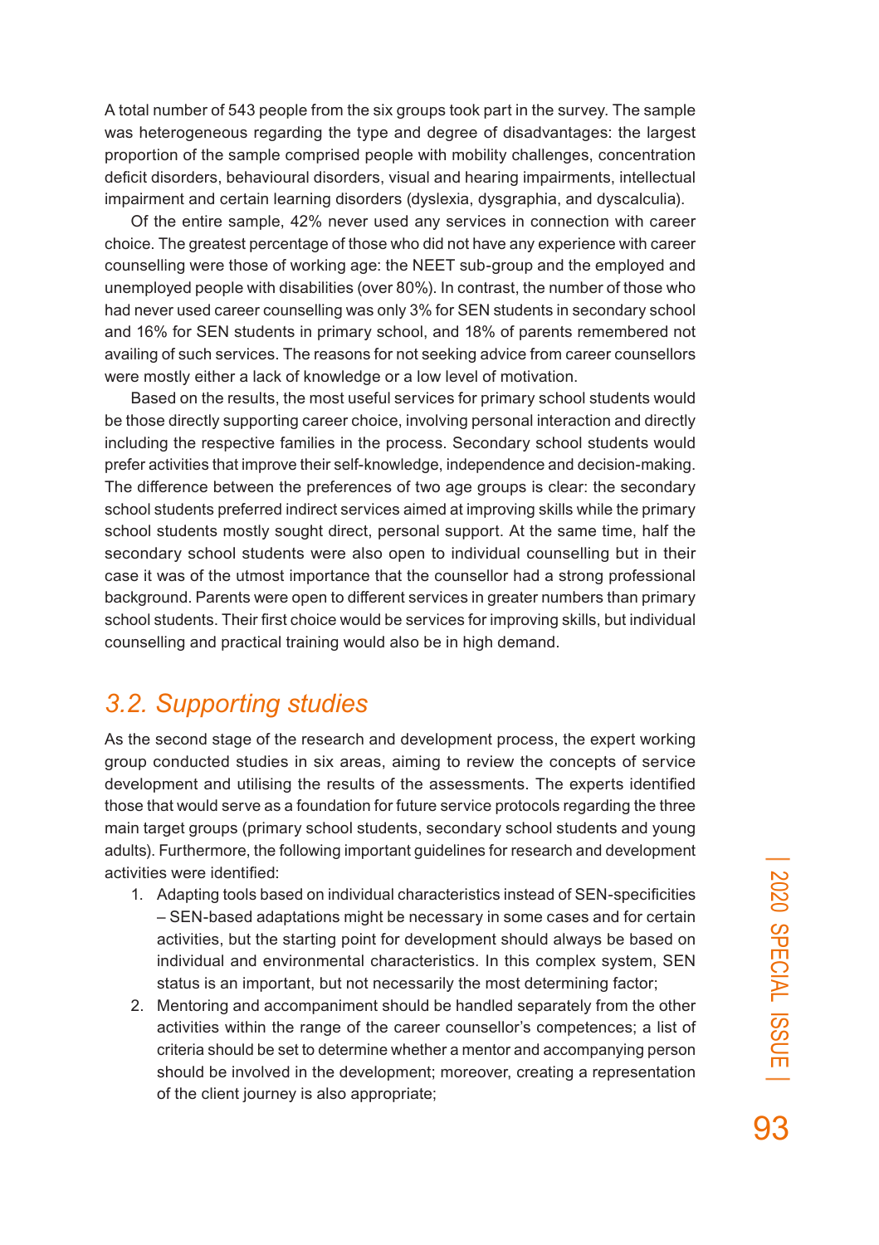A total number of 543 people from the six groups took part in the survey. The sample was heterogeneous regarding the type and degree of disadvantages: the largest proportion of the sample comprised people with mobility challenges, concentration deficit disorders, behavioural disorders, visual and hearing impairments, intellectual impairment and certain learning disorders (dyslexia, dysgraphia, and dyscalculia).

Of the entire sample, 42% never used any services in connection with career choice. The greatest percentage of those who did not have any experience with career counselling were those of working age: the NEET sub-group and the employed and unemployed people with disabilities (over 80%). In contrast, the number of those who had never used career counselling was only 3% for SEN students in secondary school and 16% for SEN students in primary school, and 18% of parents remembered not availing of such services. The reasons for not seeking advice from career counsellors were mostly either a lack of knowledge or a low level of motivation.

Based on the results, the most useful services for primary school students would be those directly supporting career choice, involving personal interaction and directly including the respective families in the process. Secondary school students would prefer activities that improve their self-knowledge, independence and decision-making. The difference between the preferences of two age groups is clear: the secondary school students preferred indirect services aimed at improving skills while the primary school students mostly sought direct, personal support. At the same time, half the secondary school students were also open to individual counselling but in their case it was of the utmost importance that the counsellor had a strong professional background. Parents were open to different services in greater numbers than primary school students. Their first choice would be services for improving skills, but individual counselling and practical training would also be in high demand.

#### *3.2. Supporting studies*

As the second stage of the research and development process, the expert working group conducted studies in six areas, aiming to review the concepts of service development and utilising the results of the assessments. The experts identified those that would serve as a foundation for future service protocols regarding the three main target groups (primary school students, secondary school students and young adults). Furthermore, the following important guidelines for research and development activities were identified:

- 1. Adapting tools based on individual characteristics instead of SEN-specificities – SEN-based adaptations might be necessary in some cases and for certain activities, but the starting point for development should always be based on individual and environmental characteristics. In this complex system, SEN status is an important, but not necessarily the most determining factor;
- 2. Mentoring and accompaniment should be handled separately from the other activities within the range of the career counsellor's competences; a list of criteria should be set to determine whether a mentor and accompanying person should be involved in the development; moreover, creating a representation of the client journey is also appropriate;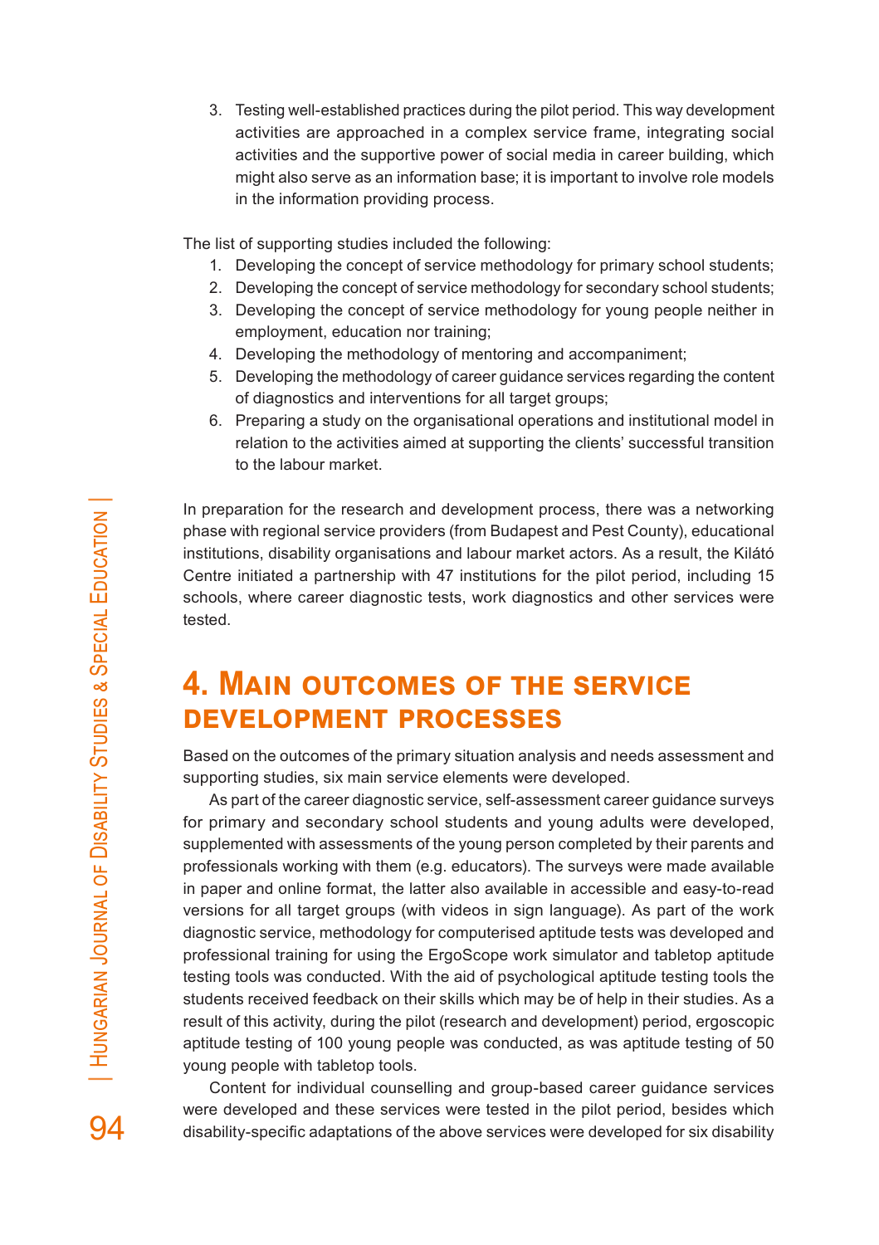3. Testing well-established practices during the pilot period. This way development activities are approached in a complex service frame, integrating social activities and the supportive power of social media in career building, which might also serve as an information base; it is important to involve role models in the information providing process.

The list of supporting studies included the following:

- 1. Developing the concept of service methodology for primary school students;
- 2. Developing the concept of service methodology for secondary school students;
- 3. Developing the concept of service methodology for young people neither in employment, education nor training;
- 4. Developing the methodology of mentoring and accompaniment;
- 5. Developing the methodology of career guidance services regarding the content of diagnostics and interventions for all target groups;
- 6. Preparing a study on the organisational operations and institutional model in relation to the activities aimed at supporting the clients' successful transition to the labour market.

In preparation for the research and development process, there was a networking phase with regional service providers (from Budapest and Pest County), educational institutions, disability organisations and labour market actors. As a result, the Kilátó Centre initiated a partnership with 47 institutions for the pilot period, including 15 schools, where career diagnostic tests, work diagnostics and other services were tested.

## **4. Main outcomes of the service development processes**

Based on the outcomes of the primary situation analysis and needs assessment and supporting studies, six main service elements were developed.

As part of the career diagnostic service, self-assessment career guidance surveys for primary and secondary school students and young adults were developed, supplemented with assessments of the young person completed by their parents and professionals working with them (e.g. educators). The surveys were made available in paper and online format, the latter also available in accessible and easy-to-read versions for all target groups (with videos in sign language). As part of the work diagnostic service, methodology for computerised aptitude tests was developed and professional training for using the ErgoScope work simulator and tabletop aptitude testing tools was conducted. With the aid of psychological aptitude testing tools the students received feedback on their skills which may be of help in their studies. As a result of this activity, during the pilot (research and development) period, ergoscopic aptitude testing of 100 young people was conducted, as was aptitude testing of 50 young people with tabletop tools.

Content for individual counselling and group-based career guidance services were developed and these services were tested in the pilot period, besides which disability-specific adaptations of the above services were developed for six disability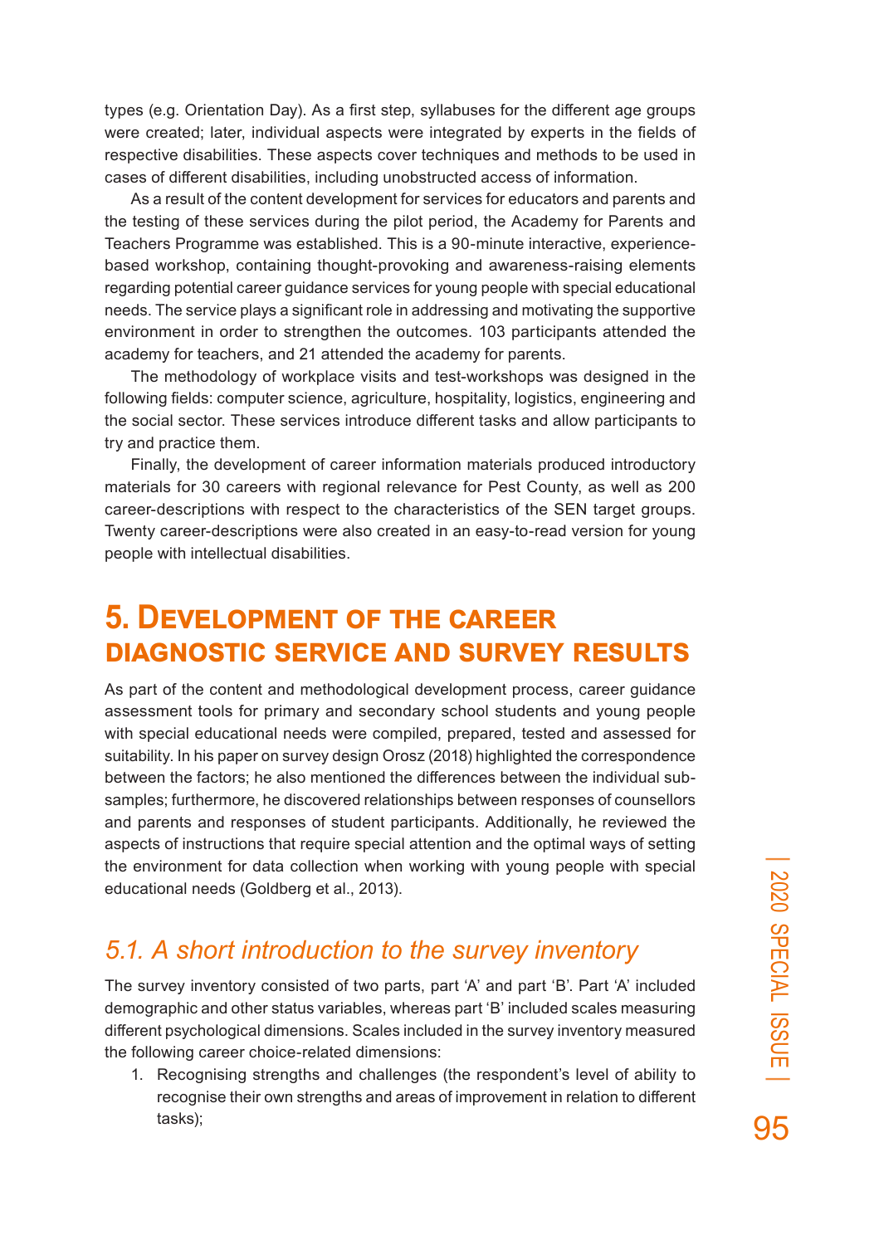types (e.g. Orientation Day). As a first step, syllabuses for the different age groups were created; later, individual aspects were integrated by experts in the fields of respective disabilities. These aspects cover techniques and methods to be used in cases of different disabilities, including unobstructed access of information.

As a result of the content development for services for educators and parents and the testing of these services during the pilot period, the Academy for Parents and Teachers Programme was established. This is a 90-minute interactive, experiencebased workshop, containing thought-provoking and awareness-raising elements regarding potential career guidance services for young people with special educational needs. The service plays a significant role in addressing and motivating the supportive environment in order to strengthen the outcomes. 103 participants attended the academy for teachers, and 21 attended the academy for parents.

The methodology of workplace visits and test-workshops was designed in the following fields: computer science, agriculture, hospitality, logistics, engineering and the social sector. These services introduce different tasks and allow participants to try and practice them.

Finally, the development of career information materials produced introductory materials for 30 careers with regional relevance for Pest County, as well as 200 career-descriptions with respect to the characteristics of the SEN target groups. Twenty career-descriptions were also created in an easy-to-read version for young people with intellectual disabilities.

### **5. Development of the career diagnostic service and survey results**

As part of the content and methodological development process, career guidance assessment tools for primary and secondary school students and young people with special educational needs were compiled, prepared, tested and assessed for suitability. In his paper on survey design Orosz (2018) highlighted the correspondence between the factors; he also mentioned the differences between the individual subsamples; furthermore, he discovered relationships between responses of counsellors and parents and responses of student participants. Additionally, he reviewed the aspects of instructions that require special attention and the optimal ways of setting the environment for data collection when working with young people with special educational needs (Goldberg et al., 2013).

### *5.1. A short introduction to the survey inventory*

The survey inventory consisted of two parts, part 'A' and part 'B'. Part 'A' included demographic and other status variables, whereas part 'B' included scales measuring different psychological dimensions. Scales included in the survey inventory measured the following career choice-related dimensions:

1. Recognising strengths and challenges (the respondent's level of ability to recognise their own strengths and areas of improvement in relation to different tasks);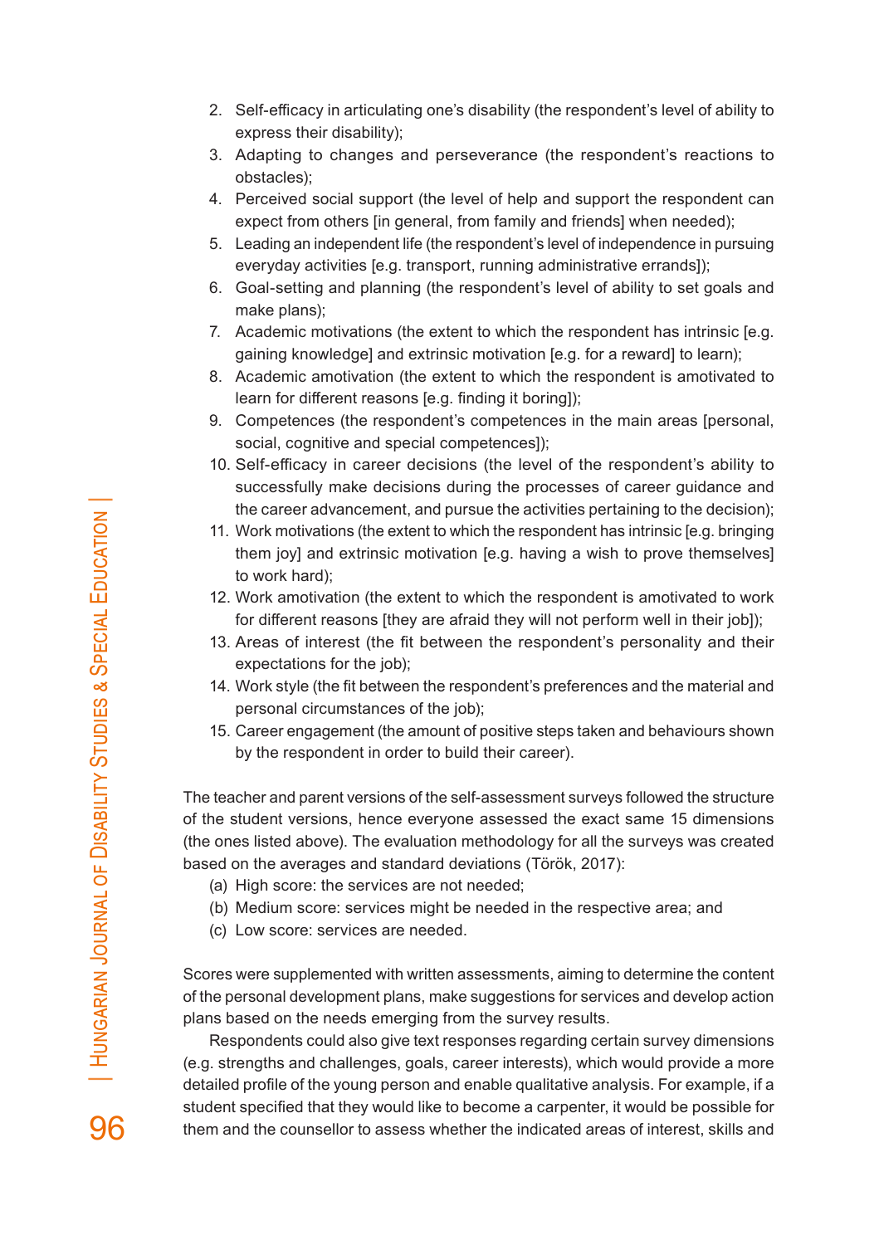- 2. Self-efficacy in articulating one's disability (the respondent's level of ability to express their disability);
- 3. Adapting to changes and perseverance (the respondent's reactions to obstacles);
- 4. Perceived social support (the level of help and support the respondent can expect from others [in general, from family and friends] when needed);
- 5. Leading an independent life (the respondent's level of independence in pursuing everyday activities [e.g. transport, running administrative errands]);
- 6. Goal-setting and planning (the respondent's level of ability to set goals and make plans);
- 7. Academic motivations (the extent to which the respondent has intrinsic [e.g. gaining knowledge] and extrinsic motivation [e.g. for a reward] to learn);
- 8. Academic amotivation (the extent to which the respondent is amotivated to learn for different reasons [e.g. finding it boring]);
- 9. Competences (the respondent's competences in the main areas [personal, social, cognitive and special competences]);
- 10. Self-efficacy in career decisions (the level of the respondent's ability to successfully make decisions during the processes of career guidance and the career advancement, and pursue the activities pertaining to the decision);
- 11. Work motivations (the extent to which the respondent has intrinsic [e.g. bringing them joy] and extrinsic motivation [e.g. having a wish to prove themselves] to work hard);
- 12. Work amotivation (the extent to which the respondent is amotivated to work for different reasons [they are afraid they will not perform well in their job]);
- 13. Areas of interest (the fit between the respondent's personality and their expectations for the job);
- 14. Work style (the fit between the respondent's preferences and the material and personal circumstances of the job);
- 15. Career engagement (the amount of positive steps taken and behaviours shown by the respondent in order to build their career).

The teacher and parent versions of the self-assessment surveys followed the structure of the student versions, hence everyone assessed the exact same 15 dimensions (the ones listed above). The evaluation methodology for all the surveys was created based on the averages and standard deviations (Török, 2017):

- (a) High score: the services are not needed;
- (b) Medium score: services might be needed in the respective area; and
- (c) Low score: services are needed.

Scores were supplemented with written assessments, aiming to determine the content of the personal development plans, make suggestions for services and develop action plans based on the needs emerging from the survey results.

Respondents could also give text responses regarding certain survey dimensions (e.g. strengths and challenges, goals, career interests), which would provide a more detailed profile of the young person and enable qualitative analysis. For example, if a student specified that they would like to become a carpenter, it would be possible for them and the counsellor to assess whether the indicated areas of interest, skills and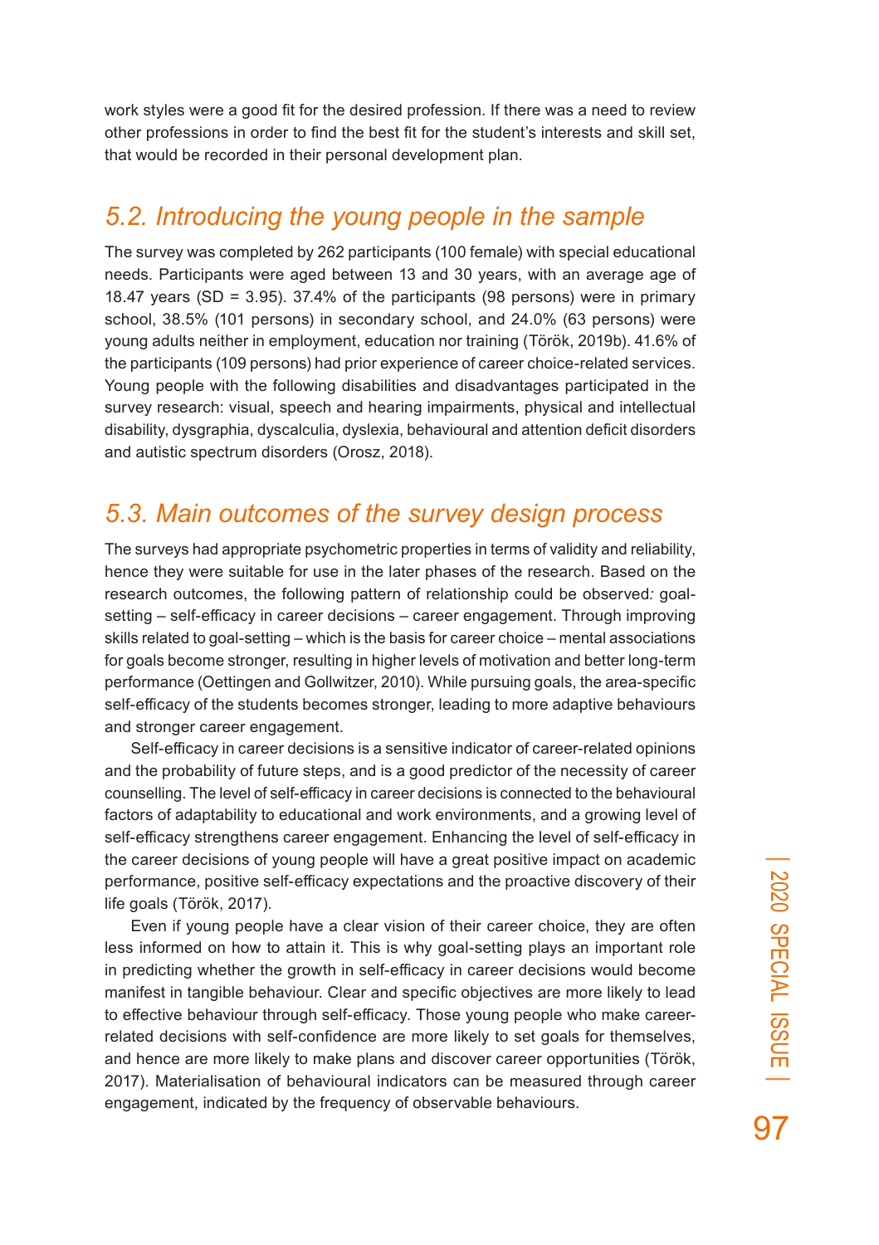work styles were a good fit for the desired profession. If there was a need to review other professions in order to find the best fit for the student's interests and skill set, that would be recorded in their personal development plan.

### *5.2. Introducing the young people in the sample*

The survey was completed by 262 participants (100 female) with special educational needs. Participants were aged between 13 and 30 years, with an average age of 18.47 years (SD = 3.95). 37.4% of the participants (98 persons) were in primary school, 38.5% (101 persons) in secondary school, and 24.0% (63 persons) were young adults neither in employment, education nor training (Török, 2019b). 41.6% of the participants (109 persons) had prior experience of career choice-related services. Young people with the following disabilities and disadvantages participated in the survey research: visual, speech and hearing impairments, physical and intellectual disability, dysgraphia, dyscalculia, dyslexia, behavioural and attention deficit disorders and autistic spectrum disorders (Orosz, 2018).

### *5.3. Main outcomes of the survey design process*

The surveys had appropriate psychometric properties in terms of validity and reliability, hence they were suitable for use in the later phases of the research. Based on the research outcomes, the following pattern of relationship could be observed*:* goalsetting – self-efficacy in career decisions – career engagement. Through improving skills related to goal-setting – which is the basis for career choice – mental associations for goals become stronger, resulting in higher levels of motivation and better long-term performance (Oettingen and Gollwitzer, 2010). While pursuing goals, the area-specific self-efficacy of the students becomes stronger, leading to more adaptive behaviours and stronger career engagement.

Self-efficacy in career decisions is a sensitive indicator of career-related opinions and the probability of future steps, and is a good predictor of the necessity of career counselling. The level of self-efficacy in career decisions is connected to the behavioural factors of adaptability to educational and work environments, and a growing level of self-efficacy strengthens career engagement. Enhancing the level of self-efficacy in the career decisions of young people will have a great positive impact on academic performance, positive self-efficacy expectations and the proactive discovery of their life goals (Török, 2017).

Even if young people have a clear vision of their career choice, they are often less informed on how to attain it. This is why goal-setting plays an important role in predicting whether the growth in self-efficacy in career decisions would become manifest in tangible behaviour. Clear and specific objectives are more likely to lead to effective behaviour through self-efficacy. Those young people who make careerrelated decisions with self-confidence are more likely to set goals for themselves, and hence are more likely to make plans and discover career opportunities (Török, 2017). Materialisation of behavioural indicators can be measured through career engagement, indicated by the frequency of observable behaviours.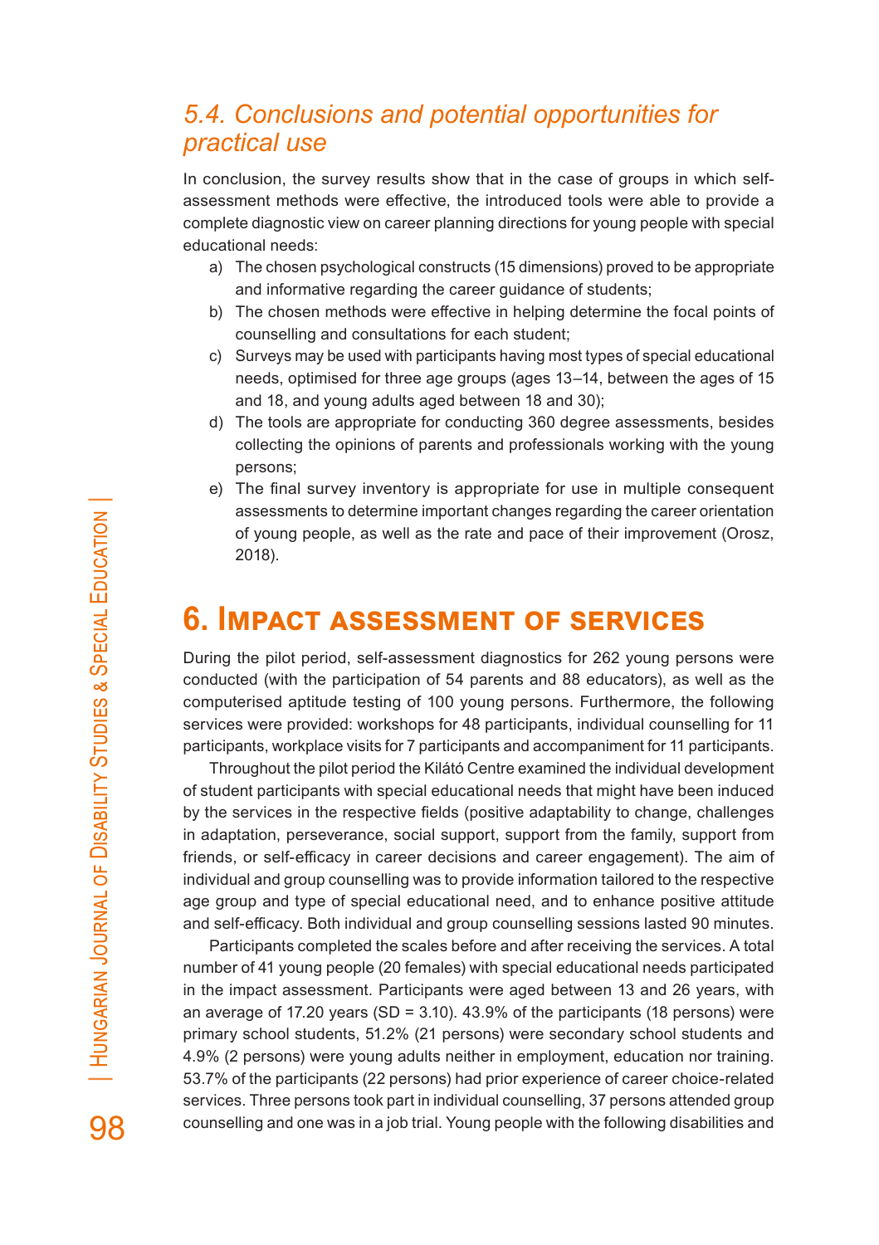### *5.4. Conclusions and potential opportunities for practical use*

In conclusion, the survey results show that in the case of groups in which selfassessment methods were effective, the introduced tools were able to provide a complete diagnostic view on career planning directions for young people with special educational needs:

- a) The chosen psychological constructs (15 dimensions) proved to be appropriate and informative regarding the career guidance of students;
- b) The chosen methods were effective in helping determine the focal points of counselling and consultations for each student;
- c) Surveys may be used with participants having most types of special educational needs, optimised for three age groups (ages 13–14, between the ages of 15 and 18, and young adults aged between 18 and 30);
- d) The tools are appropriate for conducting 360 degree assessments, besides collecting the opinions of parents and professionals working with the young persons;
- e) The final survey inventory is appropriate for use in multiple consequent assessments to determine important changes regarding the career orientation of young people, as well as the rate and pace of their improvement (Orosz, 2018).

## **6. Impact assessment of services**

During the pilot period, self-assessment diagnostics for 262 young persons were conducted (with the participation of 54 parents and 88 educators), as well as the computerised aptitude testing of 100 young persons. Furthermore, the following services were provided: workshops for 48 participants, individual counselling for 11 participants, workplace visits for 7 participants and accompaniment for 11 participants.

Throughout the pilot period the Kilátó Centre examined the individual development of student participants with special educational needs that might have been induced by the services in the respective fields (positive adaptability to change, challenges in adaptation, perseverance, social support, support from the family, support from friends, or self-efficacy in career decisions and career engagement). The aim of individual and group counselling was to provide information tailored to the respective age group and type of special educational need, and to enhance positive attitude and self-efficacy. Both individual and group counselling sessions lasted 90 minutes.

Participants completed the scales before and after receiving the services. A total number of 41 young people (20 females) with special educational needs participated in the impact assessment. Participants were aged between 13 and 26 years, with an average of 17.20 years (SD = 3.10). 43.9% of the participants (18 persons) were primary school students, 51.2% (21 persons) were secondary school students and 4.9% (2 persons) were young adults neither in employment, education nor training. 53.7% of the participants (22 persons) had prior experience of career choice-related services. Three persons took part in individual counselling, 37 persons attended group counselling and one was in a job trial. Young people with the following disabilities and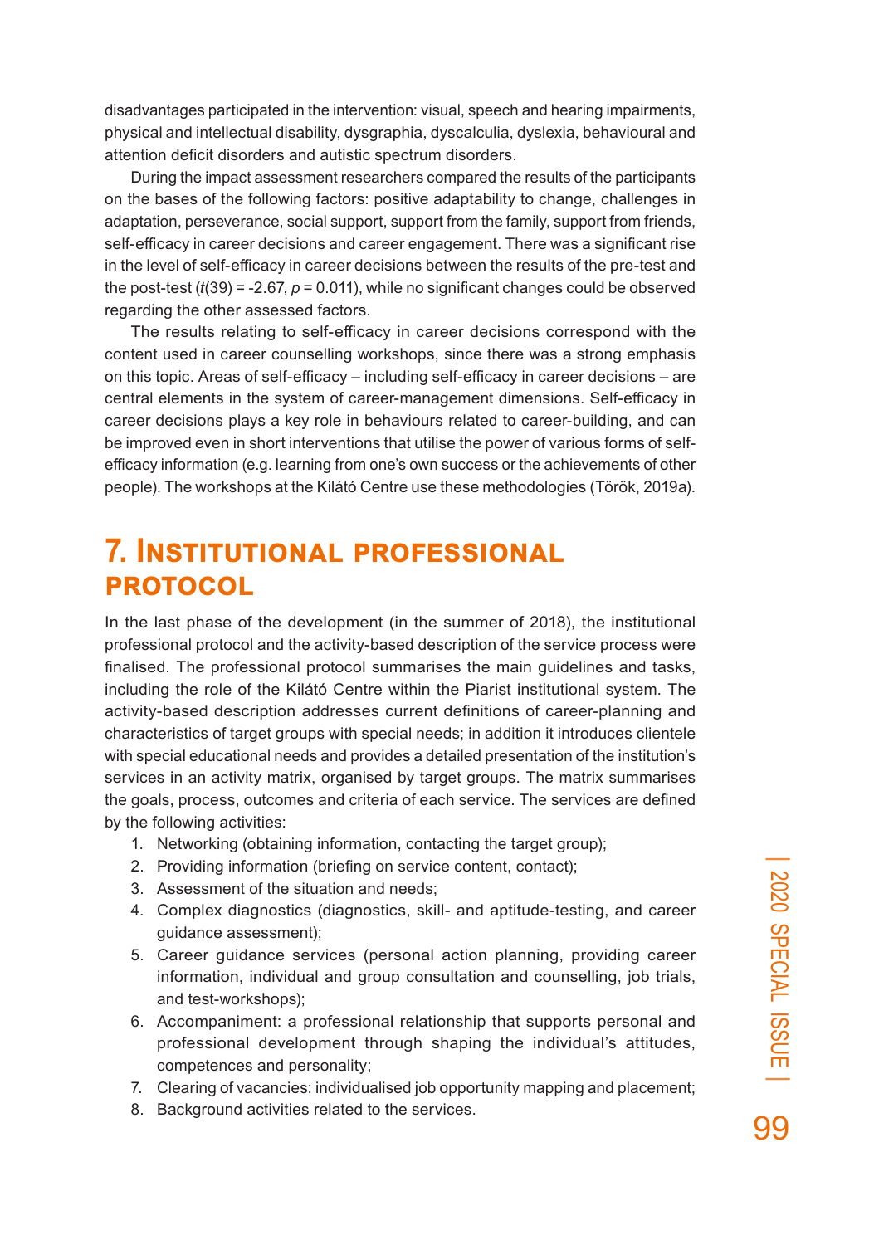disadvantages participated in the intervention: visual, speech and hearing impairments, physical and intellectual disability, dysgraphia, dyscalculia, dyslexia, behavioural and attention deficit disorders and autistic spectrum disorders.

During the impact assessment researchers compared the results of the participants on the bases of the following factors: positive adaptability to change, challenges in adaptation, perseverance, social support, support from the family, support from friends, self-efficacy in career decisions and career engagement. There was a significant rise in the level of self-efficacy in career decisions between the results of the pre-test and the post-test (*t*(39) = -2.67, *p* = 0.011), while no significant changes could be observed regarding the other assessed factors.

The results relating to self-efficacy in career decisions correspond with the content used in career counselling workshops, since there was a strong emphasis on this topic. Areas of self-efficacy – including self-efficacy in career decisions – are central elements in the system of career-management dimensions. Self-efficacy in career decisions plays a key role in behaviours related to career-building, and can be improved even in short interventions that utilise the power of various forms of selfefficacy information (e.g. learning from one's own success or the achievements of other people). The workshops at the Kilátó Centre use these methodologies (Török, 2019a).

### **7. Institutional professional protocol**

In the last phase of the development (in the summer of 2018), the institutional professional protocol and the activity-based description of the service process were finalised. The professional protocol summarises the main guidelines and tasks, including the role of the Kilátó Centre within the Piarist institutional system. The activity-based description addresses current definitions of career-planning and characteristics of target groups with special needs; in addition it introduces clientele with special educational needs and provides a detailed presentation of the institution's services in an activity matrix, organised by target groups. The matrix summarises the goals, process, outcomes and criteria of each service. The services are defined by the following activities:

- 1. Networking (obtaining information, contacting the target group);
- 2. Providing information (briefing on service content, contact);
- 3. Assessment of the situation and needs;
- 4. Complex diagnostics (diagnostics, skill- and aptitude-testing, and career guidance assessment);
- 5. Career guidance services (personal action planning, providing career information, individual and group consultation and counselling, job trials, and test-workshops);
- 6. Accompaniment: a professional relationship that supports personal and professional development through shaping the individual's attitudes, competences and personality;
- 7. Clearing of vacancies: individualised job opportunity mapping and placement;
- 8. Background activities related to the services.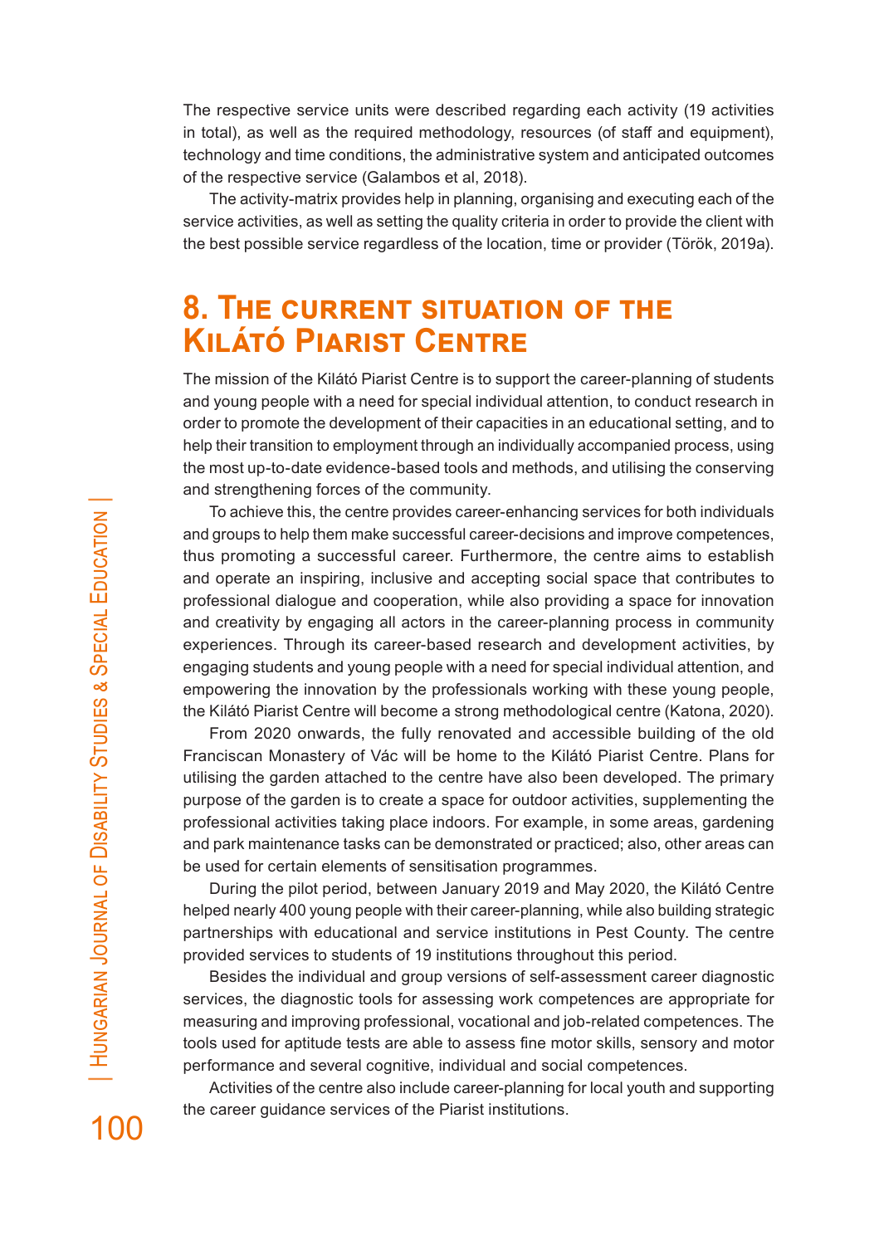The respective service units were described regarding each activity (19 activities in total), as well as the required methodology, resources (of staff and equipment), technology and time conditions, the administrative system and anticipated outcomes of the respective service (Galambos et al, 2018).

The activity-matrix provides help in planning, organising and executing each of the service activities, as well as setting the quality criteria in order to provide the client with the best possible service regardless of the location, time or provider (Török, 2019a).

### **8. The current situation of the Kilátó Piarist Centre**

The mission of the Kilátó Piarist Centre is to support the career-planning of students and young people with a need for special individual attention, to conduct research in order to promote the development of their capacities in an educational setting, and to help their transition to employment through an individually accompanied process, using the most up-to-date evidence-based tools and methods, and utilising the conserving and strengthening forces of the community.

To achieve this, the centre provides career-enhancing services for both individuals and groups to help them make successful career-decisions and improve competences, thus promoting a successful career. Furthermore, the centre aims to establish and operate an inspiring, inclusive and accepting social space that contributes to professional dialogue and cooperation, while also providing a space for innovation and creativity by engaging all actors in the career-planning process in community experiences. Through its career-based research and development activities, by engaging students and young people with a need for special individual attention, and empowering the innovation by the professionals working with these young people, the Kilátó Piarist Centre will become a strong methodological centre (Katona, 2020).

From 2020 onwards, the fully renovated and accessible building of the old Franciscan Monastery of Vác will be home to the Kilátó Piarist Centre. Plans for utilising the garden attached to the centre have also been developed. The primary purpose of the garden is to create a space for outdoor activities, supplementing the professional activities taking place indoors. For example, in some areas, gardening and park maintenance tasks can be demonstrated or practiced; also, other areas can be used for certain elements of sensitisation programmes.

During the pilot period, between January 2019 and May 2020, the Kilátó Centre helped nearly 400 young people with their career-planning, while also building strategic partnerships with educational and service institutions in Pest County. The centre provided services to students of 19 institutions throughout this period.

Besides the individual and group versions of self-assessment career diagnostic services, the diagnostic tools for assessing work competences are appropriate for measuring and improving professional, vocational and job-related competences. The tools used for aptitude tests are able to assess fine motor skills, sensory and motor performance and several cognitive, individual and social competences.

Activities of the centre also include career-planning for local youth and supporting the career guidance services of the Piarist institutions.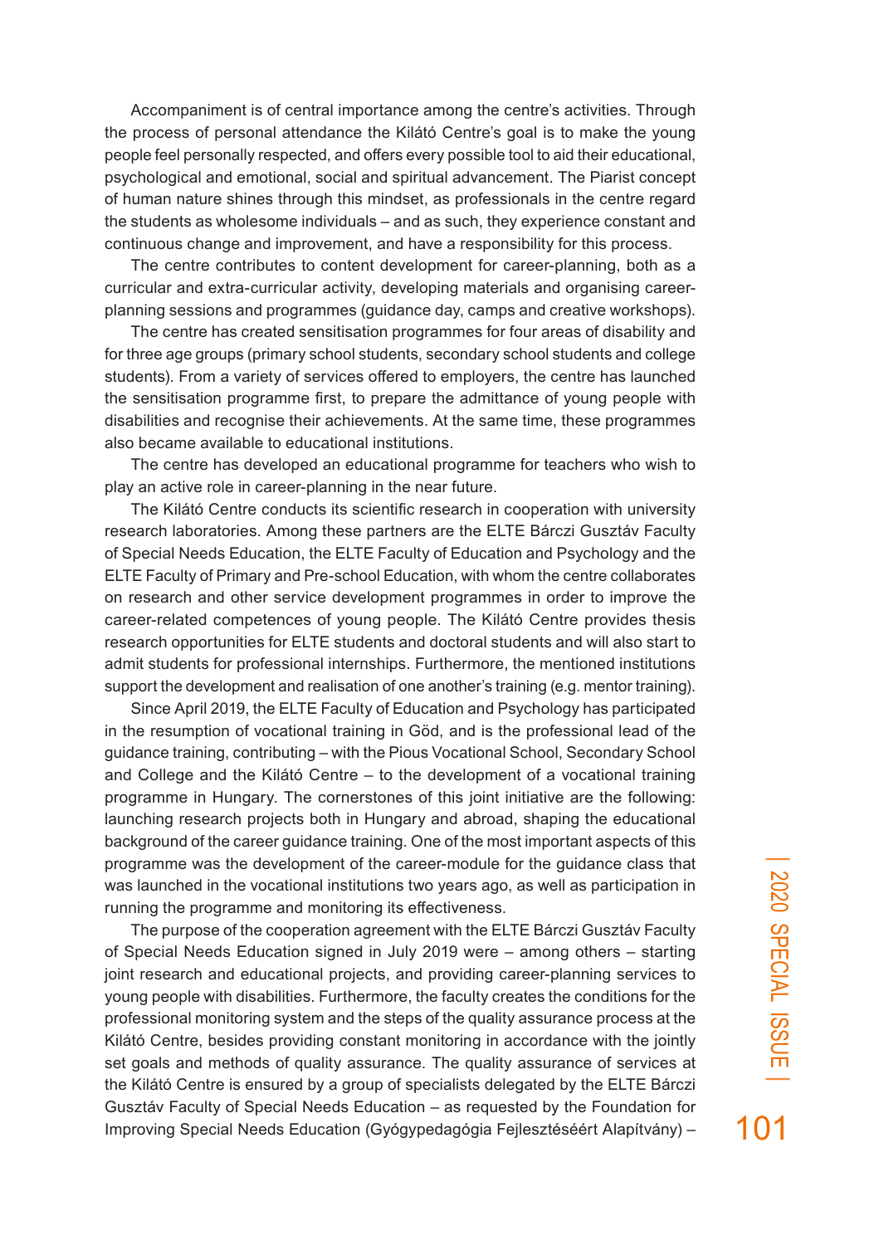Accompaniment is of central importance among the centre's activities. Through the process of personal attendance the Kilátó Centre's goal is to make the young people feel personally respected, and offers every possible tool to aid their educational, psychological and emotional, social and spiritual advancement. The Piarist concept of human nature shines through this mindset, as professionals in the centre regard the students as wholesome individuals – and as such, they experience constant and continuous change and improvement, and have a responsibility for this process.

The centre contributes to content development for career-planning, both as a curricular and extra-curricular activity, developing materials and organising careerplanning sessions and programmes (guidance day, camps and creative workshops).

The centre has created sensitisation programmes for four areas of disability and for three age groups (primary school students, secondary school students and college students). From a variety of services offered to employers, the centre has launched the sensitisation programme first, to prepare the admittance of young people with disabilities and recognise their achievements. At the same time, these programmes also became available to educational institutions.

The centre has developed an educational programme for teachers who wish to play an active role in career-planning in the near future.

The Kilátó Centre conducts its scientific research in cooperation with university research laboratories. Among these partners are the ELTE Bárczi Gusztáv Faculty of Special Needs Education, the ELTE Faculty of Education and Psychology and the ELTE Faculty of Primary and Pre-school Education, with whom the centre collaborates on research and other service development programmes in order to improve the career-related competences of young people. The Kilátó Centre provides thesis research opportunities for ELTE students and doctoral students and will also start to admit students for professional internships. Furthermore, the mentioned institutions support the development and realisation of one another's training (e.g. mentor training).

Since April 2019, the ELTE Faculty of Education and Psychology has participated in the resumption of vocational training in Göd, and is the professional lead of the guidance training, contributing – with the Pious Vocational School, Secondary School and College and the Kilátó Centre – to the development of a vocational training programme in Hungary. The cornerstones of this joint initiative are the following: launching research projects both in Hungary and abroad, shaping the educational background of the career guidance training. One of the most important aspects of this programme was the development of the career-module for the guidance class that was launched in the vocational institutions two years ago, as well as participation in running the programme and monitoring its effectiveness.

The purpose of the cooperation agreement with the ELTE Bárczi Gusztáv Faculty of Special Needs Education signed in July 2019 were – among others – starting joint research and educational projects, and providing career-planning services to young people with disabilities. Furthermore, the faculty creates the conditions for the professional monitoring system and the steps of the quality assurance process at the Kilátó Centre, besides providing constant monitoring in accordance with the jointly set goals and methods of quality assurance. The quality assurance of services at the Kilátó Centre is ensured by a group of specialists delegated by the ELTE Bárczi Gusztáv Faculty of Special Needs Education – as requested by the Foundation for Improving Special Needs Education (Gyógypedagógia Fejlesztéséért Alapítvány) –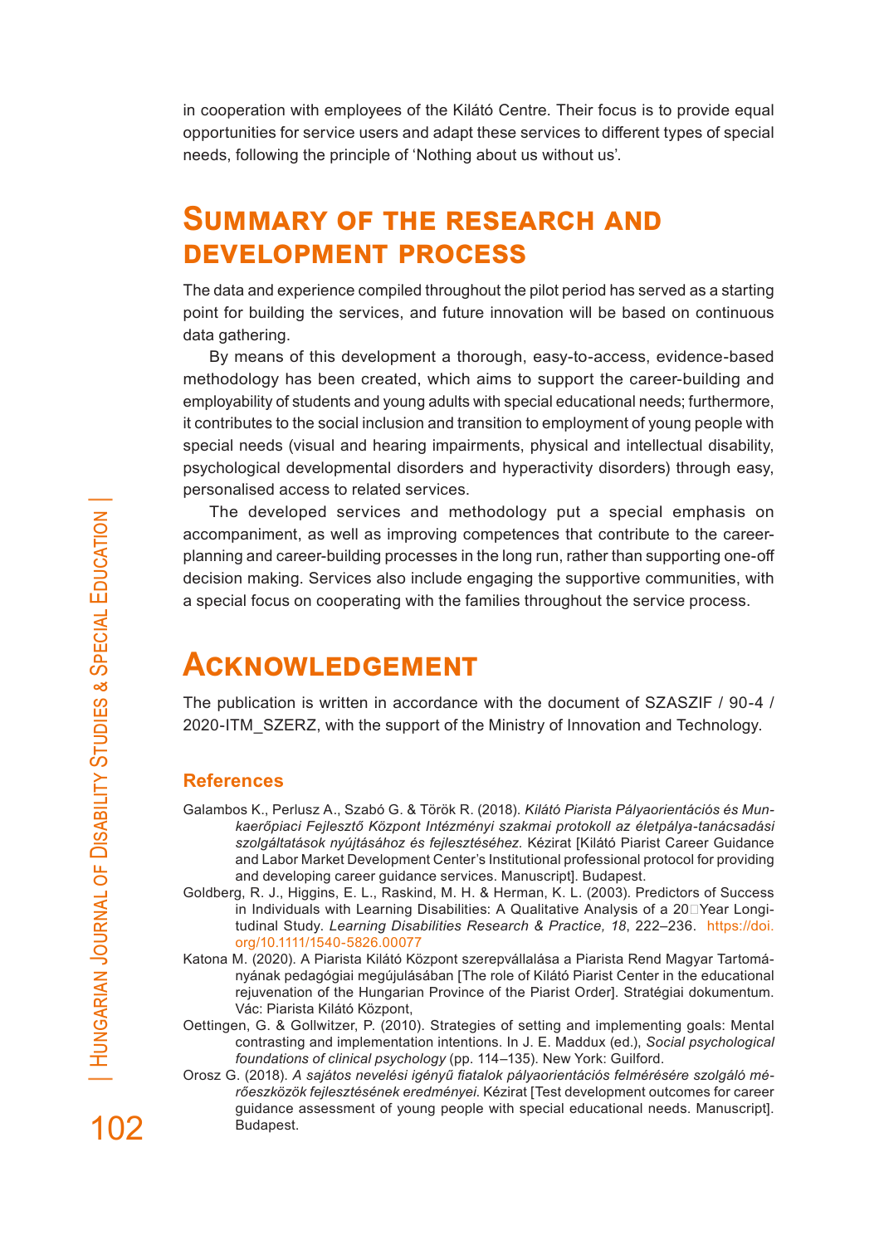in cooperation with employees of the Kilátó Centre. Their focus is to provide equal opportunities for service users and adapt these services to different types of special needs, following the principle of 'Nothing about us without us'.

### **Summary of the research and development process**

The data and experience compiled throughout the pilot period has served as a starting point for building the services, and future innovation will be based on continuous data gathering.

By means of this development a thorough, easy-to-access, evidence-based methodology has been created, which aims to support the career-building and employability of students and young adults with special educational needs; furthermore, it contributes to the social inclusion and transition to employment of young people with special needs (visual and hearing impairments, physical and intellectual disability, psychological developmental disorders and hyperactivity disorders) through easy, personalised access to related services.

The developed services and methodology put a special emphasis on accompaniment, as well as improving competences that contribute to the careerplanning and career-building processes in the long run, rather than supporting one-off decision making. Services also include engaging the supportive communities, with a special focus on cooperating with the families throughout the service process.

### **Acknowledgement**

The publication is written in accordance with the document of SZASZIF / 90-4 / 2020-ITM\_SZERZ, with the support of the Ministry of Innovation and Technology.

#### **References**

- Galambos K., Perlusz A., Szabó G. & Török R. (2018). *Kilátó Piarista Pályaorientációs és Munkaerőpiaci Fejlesztő Központ Intézményi szakmai protokoll az életpálya-tanácsadási szolgáltatások nyújtásához és fejlesztéséhez.* Kézirat [Kilátó Piarist Career Guidance and Labor Market Development Center's Institutional professional protocol for providing and developing career guidance services. Manuscript]. Budapest.
- Goldberg, R. J., Higgins, E. L., Raskind, M. H. & Herman, K. L. (2003). Predictors of Success in Individuals with Learning Disabilities: A Qualitative Analysis of a 20 $\square$ Year Longitudinal Study. *Learning Disabilities Research & Practice, 18*, 222–236. https://doi. org/10.1111/1540-5826.00077
- Katona M. (2020). A Piarista Kilátó Központ szerepvállalása a Piarista Rend Magyar Tartományának pedagógiai megújulásában [The role of Kilátó Piarist Center in the educational rejuvenation of the Hungarian Province of the Piarist Order]. Stratégiai dokumentum. Vác: Piarista Kilátó Központ,
- Oettingen, G. & Gollwitzer, P. (2010). Strategies of setting and implementing goals: Mental contrasting and implementation intentions. In J. E. Maddux (ed.), *Social psychological foundations of clinical psychology* (pp. 114–135). New York: Guilford.
- Orosz G. (2018). *A sajátos nevelési igényű fiatalok pályaorientációs felmérésére szolgáló mérőeszközök fejlesztésének eredményei*. Kézirat [Test development outcomes for career guidance assessment of young people with special educational needs. Manuscript]. Budapest.

102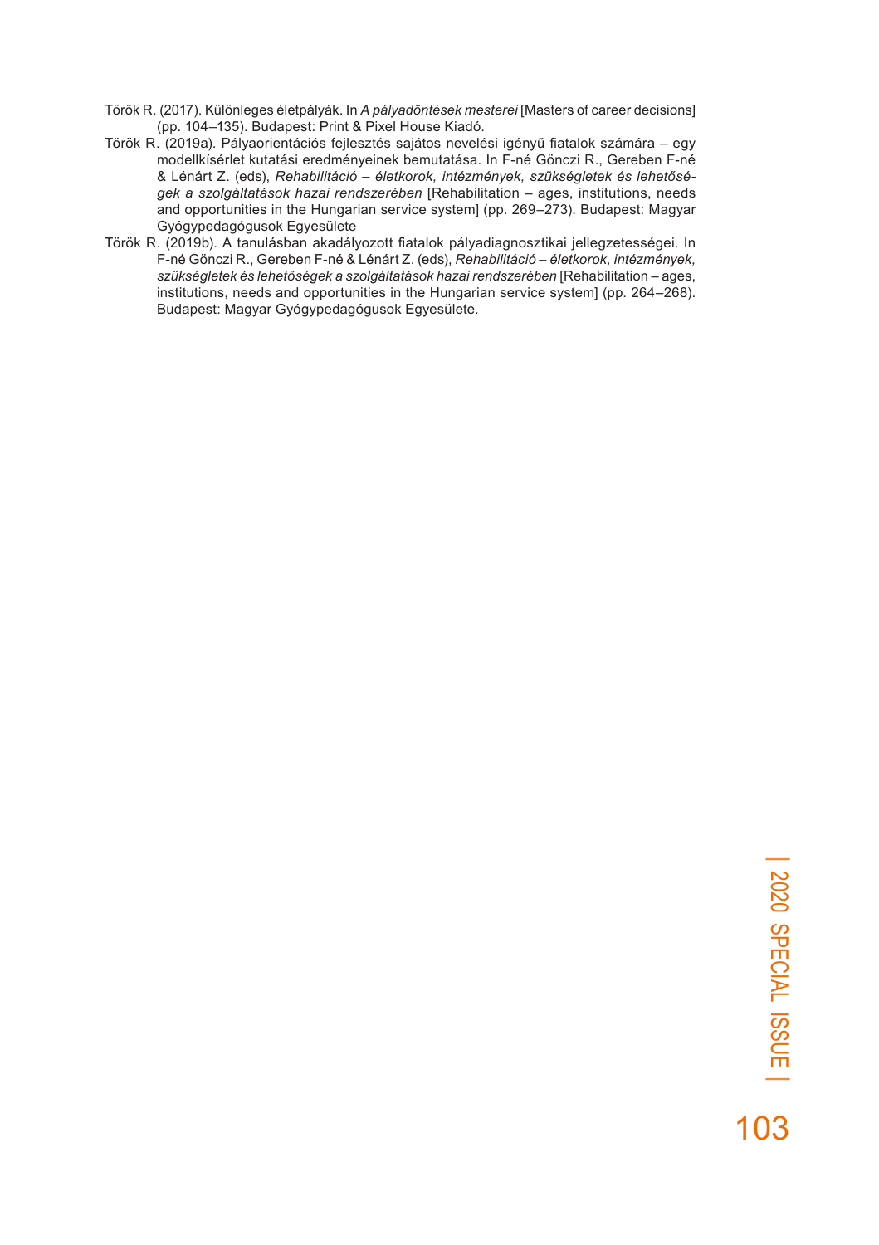- Török R. (2017). Különleges életpályák. In *A pályadöntések mesterei* [Masters of career decisions] (pp. 104–135). Budapest: Print & Pixel House Kiadó.
- Török R. (2019a). Pályaorientációs fejlesztés sajátos nevelési igényű fiatalok számára egy modellkísérlet kutatási eredményeinek bemutatása. In F-né Gönczi R., Gereben F-né & Lénárt Z. (eds), *Rehabilitáció – életkorok, intézmények, szükségletek és lehetőségek a szolgáltatások hazai rendszerében* [Rehabilitation – ages, institutions, needs and opportunities in the Hungarian service system] (pp. 269–273). Budapest: Magyar Gyógypedagógusok Egyesülete
- Török R. (2019b). A tanulásban akadályozott fiatalok pályadiagnosztikai jellegzetességei. In F-né Gönczi R., Gereben F-né & Lénárt Z. (eds), *Rehabilitáció – életkorok, intézmények, szükségletek és lehetőségek a szolgáltatások hazai rendszerében* [Rehabilitation – ages, institutions, needs and opportunities in the Hungarian service system] (pp. 264–268). Budapest: Magyar Gyógypedagógusok Egyesülete.